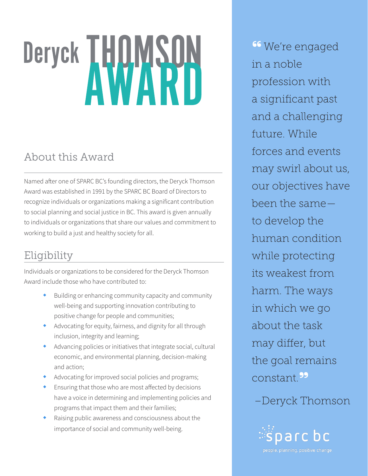# Deryck THOMSON

# About this Award

Named after one of SPARC BC's founding directors, the Deryck Thomson Award was established in 1991 by the SPARC BC Board of Directors to recognize individuals or organizations making a significant contribution to social planning and social justice in BC. This award is given annually to individuals or organizations that share our values and commitment to working to build a just and healthy society for all.

## Eligibility

Individuals or organizations to be considered for the Deryck Thomson Award include those who have contributed to:

- Building or enhancing community capacity and community well-being and supporting innovation contributing to positive change for people and communities;
- Advocating for equity, fairness, and dignity for all through inclusion, integrity and learning;
- Advancing policies or initiatives that integrate social, cultural economic, and environmental planning, decision-making and action;
- Advocating for improved social policies and programs;
- Ensuring that those who are most affected by decisions have a voice in determining and implementing policies and programs that impact them and their families;
- Raising public awareness and consciousness about the importance of social and community well-being.

<sup>66</sup> We're engaged in a noble profession with a significant past and a challenging future. While forces and events may swirl about us, our objectives have been the same to develop the human condition while protecting its weakest from harm. The ways in which we go about the task may differ, but the goal remains constant.**"**

## –Deryck Thomson

sparc bc people. planning. positive change.